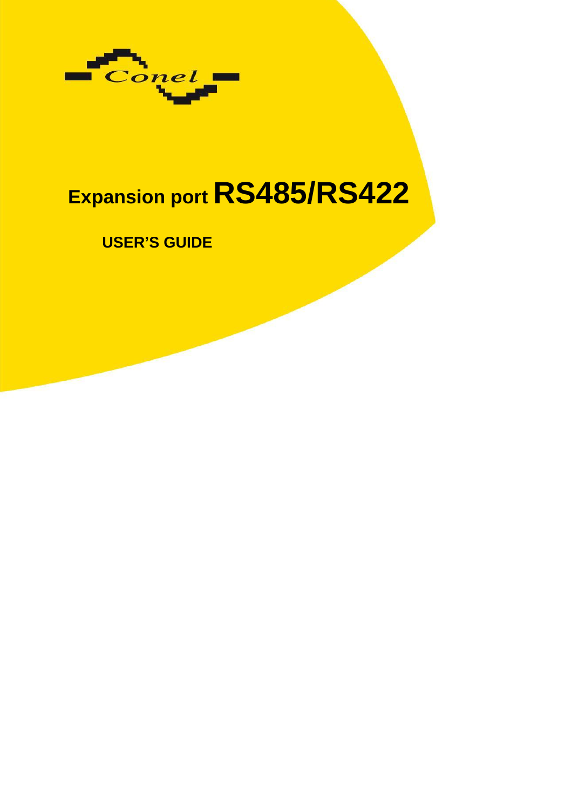

# **Expansion port RS485/RS422**

# **USER'S GUIDE**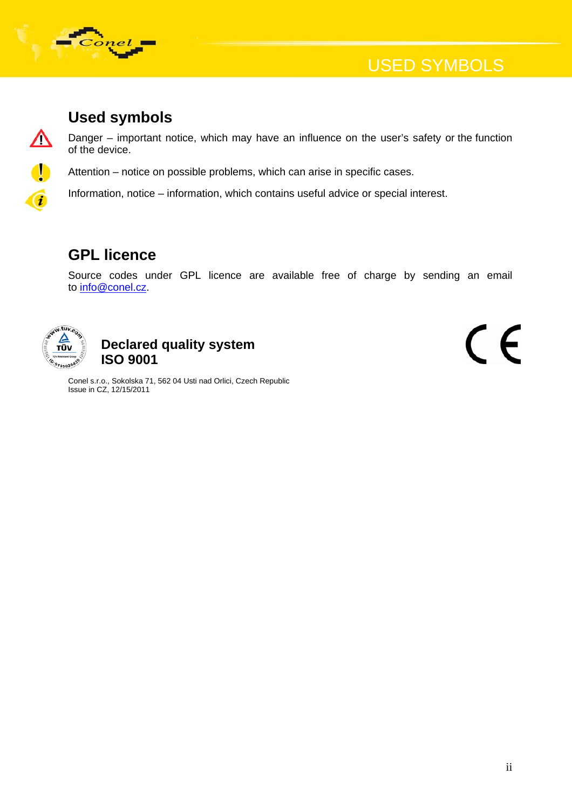

#### **Used symbols**

Danger – important notice, which may have an influence on the user's safety or the function of the device.

Attention – notice on possible problems, which can arise in specific cases.

Information, notice – information, which contains useful advice or special interest.

#### **GPL licence**

Source codes under GPL licence are available free of charge by sending an email to [info@conel.cz](mailto:info@conel.cz).



<u>∕∖</u>

 $\left| \right|$ 

 $\overline{a}$ 

#### **Declared quality system ISO 9001**

Conel s.r.o., Sokolska 71, 562 04 Usti nad Orlici, Czech Republic Issue in CZ, 12/15/2011

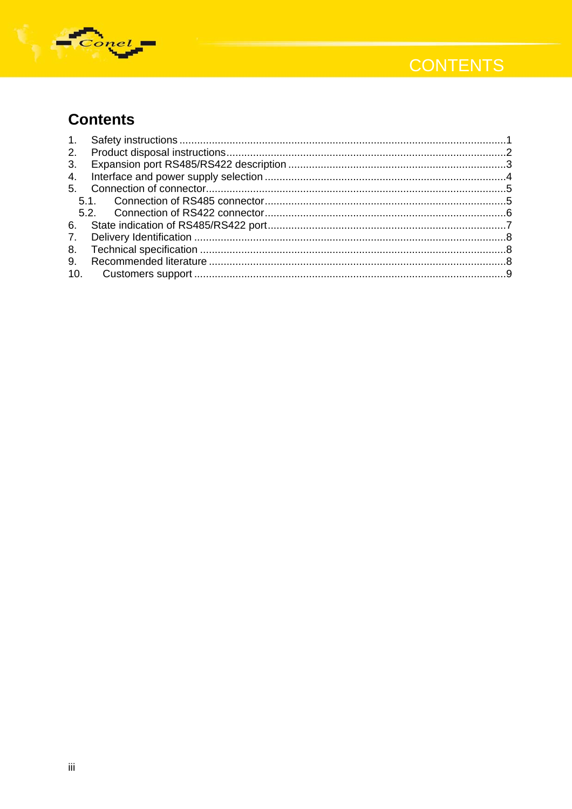

# **CONTENTS**

## **Contents**

| 2.             |  |
|----------------|--|
| 3.             |  |
| 4.             |  |
| 5 <sub>1</sub> |  |
|                |  |
|                |  |
| 6.             |  |
| $7_{\cdot}$    |  |
| 8.             |  |
| 9.             |  |
| 10.            |  |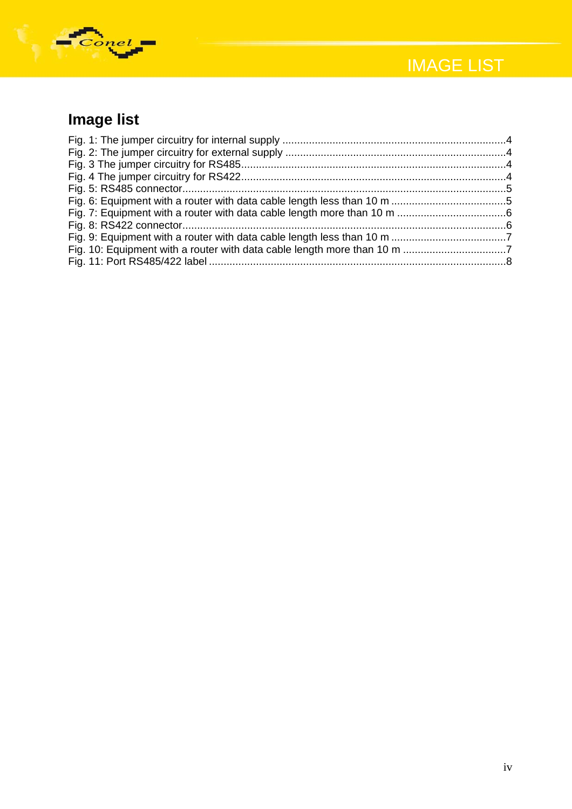



# **Image list**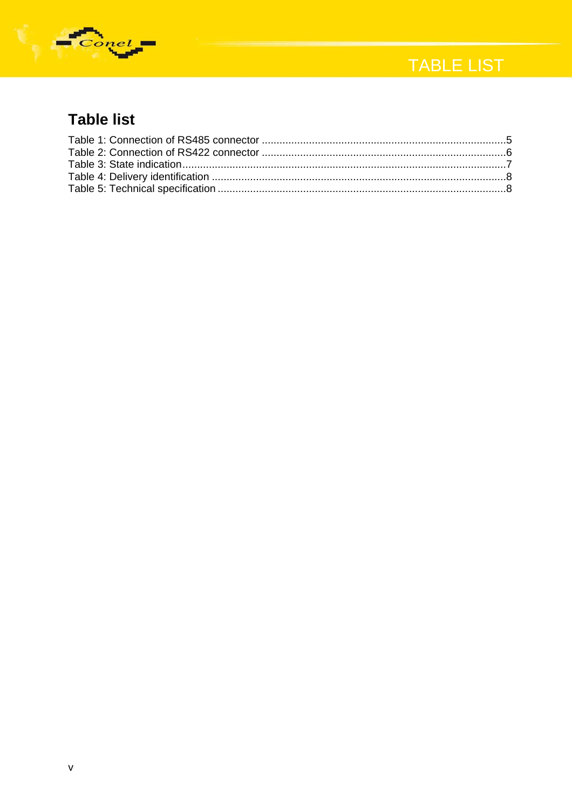

# TABLE LIST

## **Table list**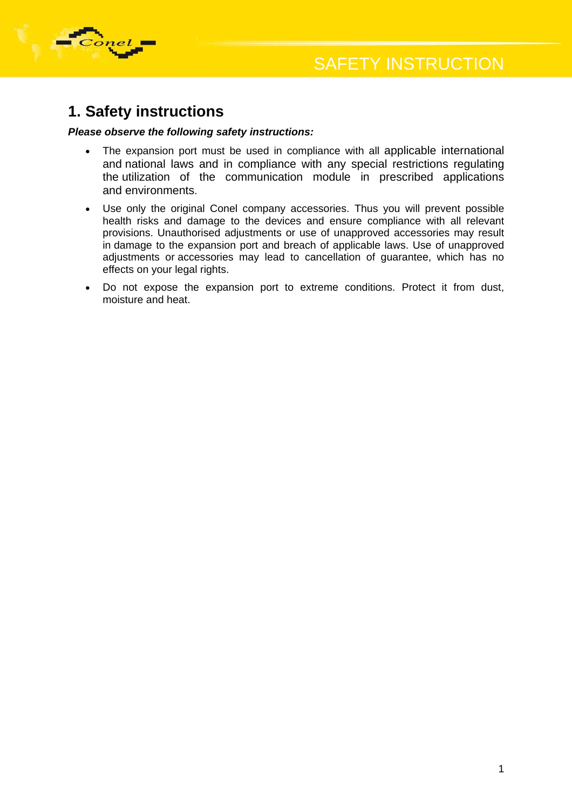

<span id="page-5-0"></span>

#### **1. Safety instructions**

#### *Please observe the following safety instructions:*

- The expansion port must be used in compliance with all applicable international and national laws and in compliance with any special restrictions regulating the utilization of the communication module in prescribed applications and environments.
- Use only the original Conel company accessories. Thus you will prevent possible health risks and damage to the devices and ensure compliance with all relevant provisions. Unauthorised adjustments or use of unapproved accessories may result in damage to the expansion port and breach of applicable laws. Use of unapproved adjustments or accessories may lead to cancellation of guarantee, which has no effects on your legal rights.
- Do not expose the expansion port to extreme conditions. Protect it from dust, moisture and heat.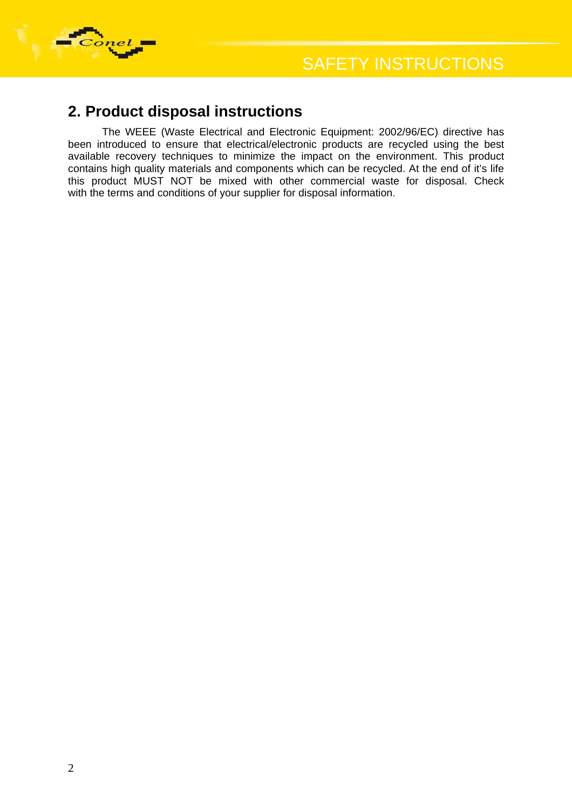<span id="page-6-0"></span>

#### **2. Product disposal instructions**

The WEEE (Waste Electrical and Electronic Equipment: 2002/96/EC) directive has been introduced to ensure that electrical/electronic products are recycled using the best available recovery techniques to minimize the impact on the environment. This product contains high quality materials and components which can be recycled. At the end of it's life this product MUST NOT be mixed with other commercial waste for disposal. Check with the terms and conditions of your supplier for disposal information.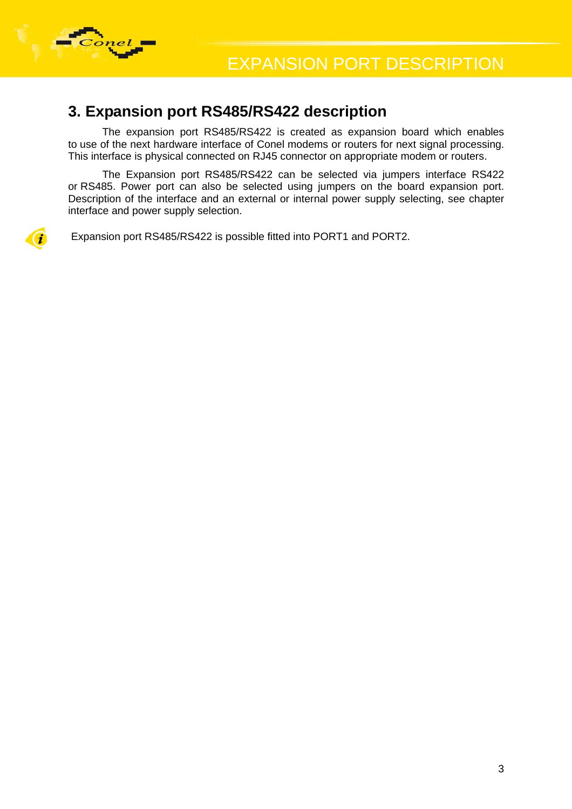<span id="page-7-0"></span>

#### **3. Expansion port RS485/RS422 description**

The expansion port RS485/RS422 is created as expansion board which enables to use of the next hardware interface of Conel modems or routers for next signal processing. This interface is physical connected on RJ45 connector on appropriate modem or routers.

The Expansion port RS485/RS422 can be selected via jumpers interface RS422 or RS485. Power port can also be selected using jumpers on the board expansion port. Description of the interface and an external or internal power supply selecting, see chapter interface and power supply selection.

Expansion port RS485/RS422 is possible fitted into PORT1 and PORT2.

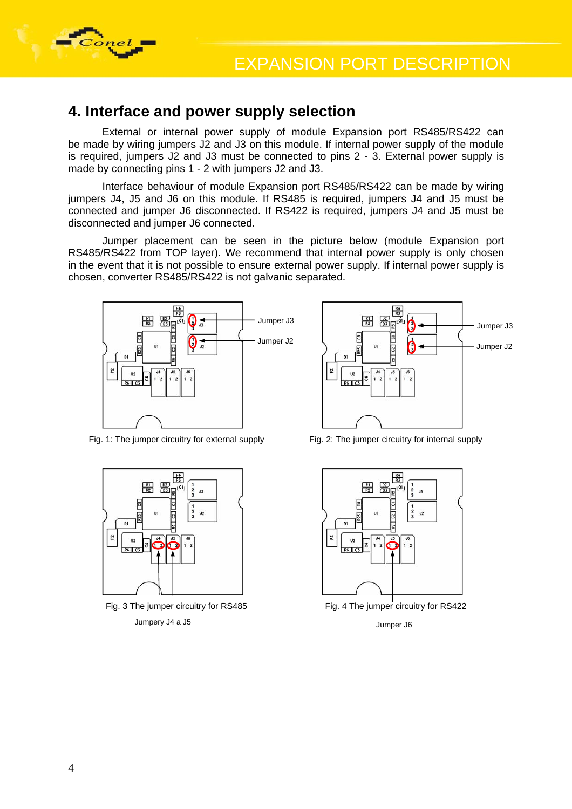<span id="page-8-0"></span>

#### **4. Interface and power supply selection**

External or internal power supply of module Expansion port RS485/RS422 can be made by wiring jumpers J2 and J3 on this module. If internal power supply of the module is required, jumpers J2 and J3 must be connected to pins 2 - 3. External power supply is made by connecting pins 1 - 2 with jumpers J2 and J3.

Interface behaviour of module Expansion port RS485/RS422 can be made by wiring jumpers J4, J5 and J6 on this module. If RS485 is required, jumpers J4 and J5 must be connected and jumper J6 disconnected. If RS422 is required, jumpers J4 and J5 must be disconnected and jumper J6 connected.

Jumper placement can be seen in the picture below (module Expansion port RS485/RS422 from TOP layer). We recommend that internal power supply is only chosen in the event that it is not possible to ensure external power supply. If internal power supply is chosen, converter RS485/RS422 is not galvanic separated.



 $rac{R4}{R3}$ Jumper J3  $\frac{1}{2}$   $\frac{1}{2}$   $\frac{1}{2}$   $\frac{1}{2}$   $\frac{1}{2}$   $\frac{1}{2}$   $\frac{1}{2}$   $\frac{1}{2}$   $\frac{1}{2}$   $\frac{1}{2}$   $\frac{1}{2}$   $\frac{1}{2}$   $\frac{1}{2}$   $\frac{1}{2}$   $\frac{1}{2}$   $\frac{1}{2}$   $\frac{1}{2}$   $\frac{1}{2}$   $\frac{1}{2}$   $\frac{1}{2}$   $\frac{1}{2}$  Jumper J2  $\begin{array}{ccc} \begin{array}{ccc} \searrow & \quad \text{Cl} \\ \text{I} & \quad \text{II} \end{array} & \begin{array}{ccc} \bullet & \quad \text{Cl} \\ \text{I} & \quad \text{I} \end{array} & \begin{array}{ccc} \bullet & \quad \text{I} \\ \bullet & \quad \text{II} \end{array} & \begin{array}{ccc} \bullet & \quad \text{I} \\ \bullet & \quad \text{I} \end{array} & \begin{array}{ccc} \bullet & \quad \text{I} \\ \bullet & \quad \text{I} \end{array} & \end{array}$  $\tilde{z}$  $\overline{u}$ 

Fig. 1: The jumper circuitry for external supply



Fig. 3 The jumper circuitry for RS485 Fig. 4 The jumper circuitry for RS422 Jumpery J4 a J5 Jumper J6

Fig. 2: The jumper circuitry for internal supply

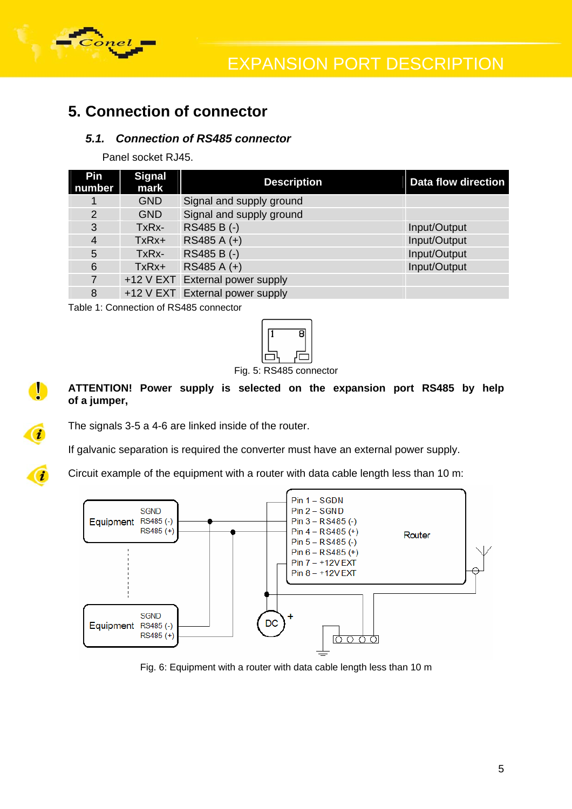<span id="page-9-0"></span>

0

 $\overline{\mathbf{a}}$ 

 $\overline{a}$ 

#### **5. Connection of connector**

#### *5.1. Connection of RS485 connector*

Panel socket RJ45.

| Pin<br>number  | <b>Signal</b><br>mark | <b>Description</b>              | <b>Data flow direction</b> |
|----------------|-----------------------|---------------------------------|----------------------------|
|                | <b>GND</b>            | Signal and supply ground        |                            |
| $\overline{2}$ | <b>GND</b>            | Signal and supply ground        |                            |
| 3              | TxRx-                 | RS485 B (-)                     | Input/Output               |
| 4              | TxRx+                 | RS485 A (+)                     | Input/Output               |
| 5              | TxRx-                 | RS485 B (-)                     | Input/Output               |
| 6              | $TxRx+$               | RS485 A (+)                     | Input/Output               |
| 7              |                       | +12 V EXT External power supply |                            |
| 8              |                       | +12 V EXT External power supply |                            |

Table 1: Connection of RS485 connector



Fig. 5: RS485 connector

**ATTENTION! Power supply is selected on the expansion port RS485 by help of a jumper,** 

The signals 3-5 a 4-6 are linked inside of the router.

If galvanic separation is required the converter must have an external power supply.

Circuit example of the equipment with a router with data cable length less than 10 m:



Fig. 6: Equipment with a router with data cable length less than 10 m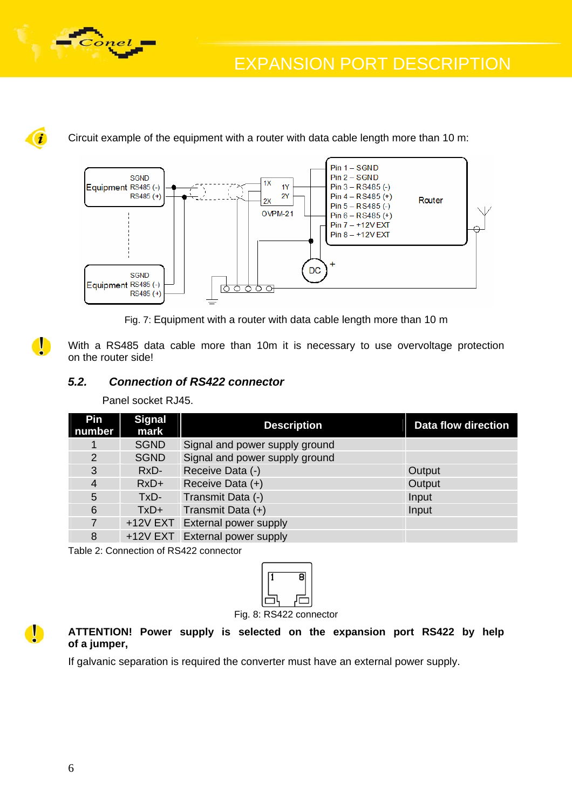<span id="page-10-0"></span>

EXPANSION PORT DESCRIPTION



0

Circuit example of the equipment with a router with data cable length more than 10 m:



Fig. 7: Equipment with a router with data cable length more than 10 m

With a RS485 data cable more than 10m it is necessary to use overvoltage protection on the router side!

#### *5.2. Connection of RS422 connector*

Panel socket RJ45.

| <b>Pin</b><br>number | <b>Signal</b><br>mark | <b>Description</b>             | <b>Data flow direction</b> |
|----------------------|-----------------------|--------------------------------|----------------------------|
|                      | <b>SGND</b>           | Signal and power supply ground |                            |
| $\overline{2}$       | <b>SGND</b>           | Signal and power supply ground |                            |
| 3                    | RxD-                  | Receive Data (-)               | Output                     |
| $\overline{4}$       | $RxD+$                | Receive Data (+)               | Output                     |
| 5                    | TxD-                  | Transmit Data (-)              | Input                      |
| 6                    | $TxD+$                | Transmit Data (+)              | Input                      |
| $\overline{7}$       |                       | +12V EXT External power supply |                            |
| 8                    | $+12V$ EXT            | <b>External power supply</b>   |                            |

Table 2: Connection of RS422 connector



Fig. 8: RS422 connector

**ATTENTION! Power supply is selected on the expansion port RS422 by help of a jumper,** 

If galvanic separation is required the converter must have an external power supply.

 $\bullet$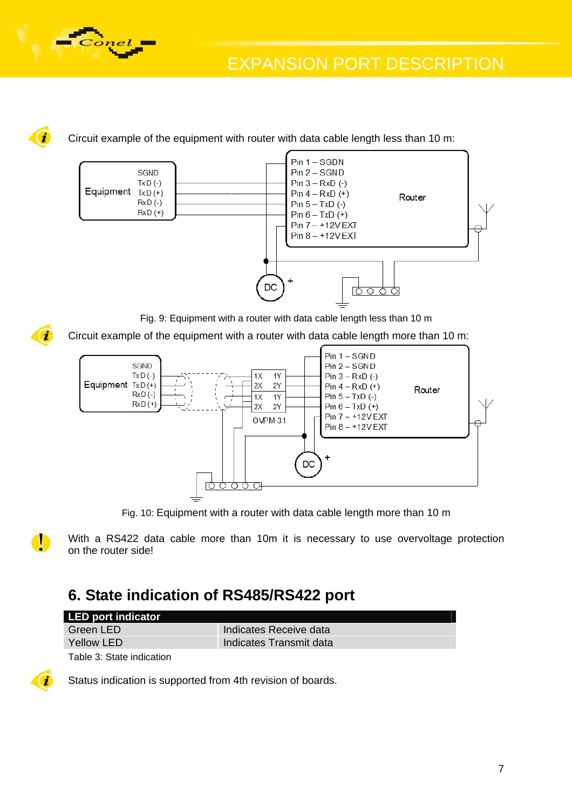<span id="page-11-0"></span>

i

 $\mathbf{i}$ 

Circuit example of the equipment with router with data cable length less than 10 m:



Fig. 9: Equipment with a router with data cable length less than 10 m

Circuit example of the equipment with a router with data cable length more than 10 m:







With a RS422 data cable more than 10m it is necessary to use overvoltage protection on the router side!

#### **6. State indication of RS485/RS422 port**

| LED port indicator |                         |
|--------------------|-------------------------|
| Green LED          | Indicates Receive data  |
| Yellow LED         | Indicates Transmit data |

Table 3: State indication



Status indication is supported from 4th revision of boards.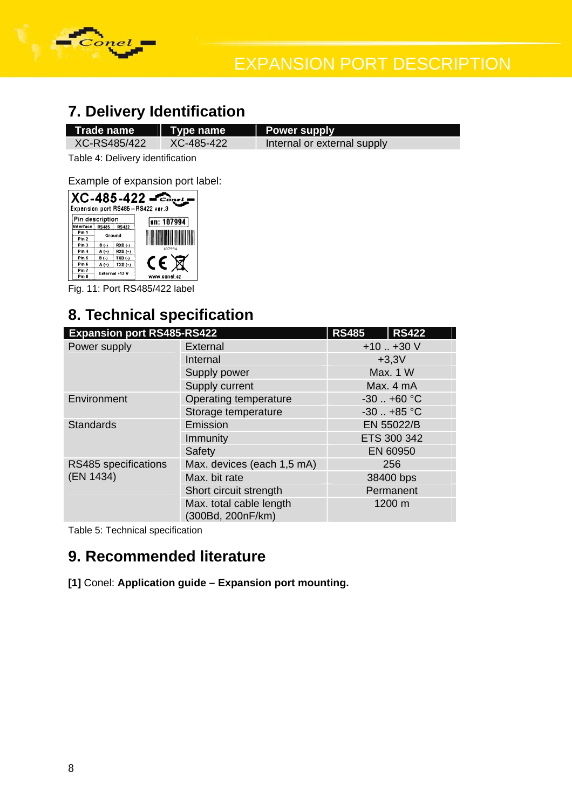<span id="page-12-0"></span>

## **7. Delivery Identification**

| Trade name Type name |            | <b>Power supply</b>         |
|----------------------|------------|-----------------------------|
| XC-RS485/422         | XC-485-422 | Internal or external supply |
|                      |            |                             |

Table 4: Delivery identification

Example of expansion port label:

| $XC-485-422 - \epsilon_{\text{cav}}$<br>Expansion port RS485-RS422 ver.3 |                |              |              |  |  |
|--------------------------------------------------------------------------|----------------|--------------|--------------|--|--|
| Pin description                                                          |                |              | sn: 107994   |  |  |
| Interface                                                                | <b>RS485</b>   | <b>RS422</b> |              |  |  |
| Pin <sub>1</sub>                                                         |                |              |              |  |  |
| Pin <sub>2</sub>                                                         | Ground         |              |              |  |  |
| Pin <sub>3</sub>                                                         | B(.)           | RXD (-)      |              |  |  |
| Pin 4                                                                    | A (+)          | RXD (+)      | 107994       |  |  |
| Pin 5                                                                    | $B(-)$         | TXD(.)       |              |  |  |
| Pin 6                                                                    | $A(+)$         | $TXD (+)$    | CE           |  |  |
| Pin 7                                                                    | External +12 V |              |              |  |  |
| Pin 8                                                                    |                |              | www.conel.cz |  |  |

Fig. 11: Port RS485/422 label

## **8. Technical specification**

| <b>Expansion port RS485-RS422</b> | <b>RS485</b>                                 | <b>RS422</b>   |        |  |
|-----------------------------------|----------------------------------------------|----------------|--------|--|
| Power supply                      | External                                     | $+10. +30V$    |        |  |
|                                   | Internal                                     | $+3,3V$        |        |  |
|                                   | Supply power                                 | Max. 1 W       |        |  |
|                                   | Supply current                               | Max. 4 mA      |        |  |
| Environment                       | Operating temperature                        | $-30$ $+60$ °C |        |  |
|                                   | Storage temperature                          | $-30$ $+85$ °C |        |  |
| <b>Standards</b>                  | Emission                                     | EN 55022/B     |        |  |
|                                   | Immunity                                     | ETS 300 342    |        |  |
|                                   | Safety                                       | EN 60950       |        |  |
| RS485 specifications              | Max. devices (each 1,5 mA)                   | 256            |        |  |
| (EN 1434)                         | Max. bit rate                                | 38400 bps      |        |  |
|                                   | Short circuit strength                       | Permanent      |        |  |
|                                   | Max. total cable length<br>(300Bd, 200nF/km) |                | 1200 m |  |

Table 5: Technical specification

#### **9. Recommended literature**

**[1]** Conel: **Application guide – Expansion port mounting.**